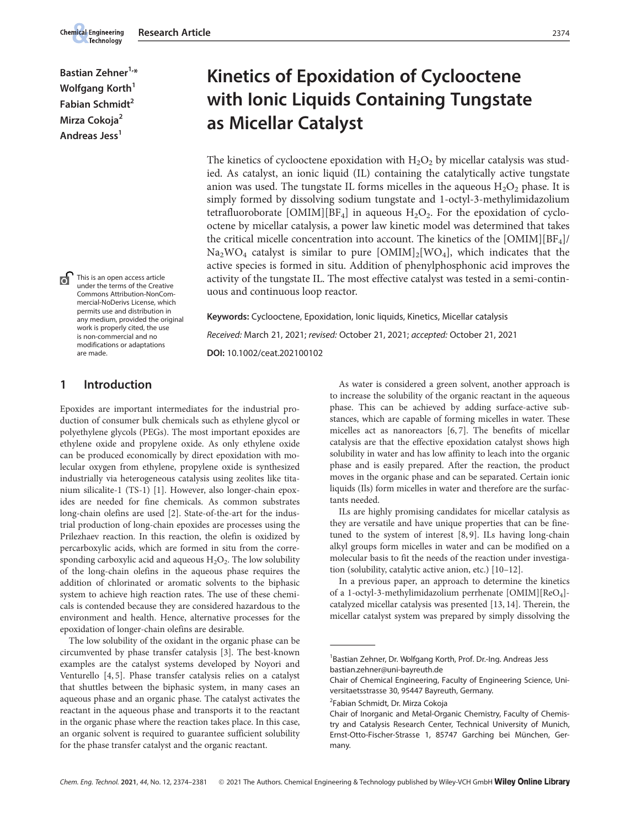Bastian Zehner<sup>1,\*</sup> Wolfgang Korth<sup>1</sup> Fabian Schmidt<sup>2</sup> Mirza Cokoja<sup>2</sup> Andreas Jess<sup>1</sup>

**Chemical Engineering** Technology

> This is an open access article under the terms of the Creative Commons Attribution-NonCommercial-NoDerivs License, which permits use and distribution in any medium, provided the original work is properly cited, the use is non-commercial and no modifications or adaptations are made.

# 1 Introduction

Epoxides are important intermediates for the industrial production of consumer bulk chemicals such as ethylene glycol or polyethylene glycols (PEGs). The most important epoxides are ethylene oxide and propylene oxide. As only ethylene oxide can be produced economically by direct epoxidation with molecular oxygen from ethylene, propylene oxide is synthesized industrially via heterogeneous catalysis using zeolites like titanium silicalite-1 (TS-1) [1]. However, also longer-chain epoxides are needed for fine chemicals. As common substrates long-chain olefins are used [2]. State-of-the-art for the industrial production of long-chain epoxides are processes using the Prilezhaev reaction. In this reaction, the olefin is oxidized by percarboxylic acids, which are formed in situ from the corresponding carboxylic acid and aqueous  $H_2O_2$ . The low solubility of the long-chain olefins in the aqueous phase requires the addition of chlorinated or aromatic solvents to the biphasic system to achieve high reaction rates. The use of these chemicals is contended because they are considered hazardous to the environment and health. Hence, alternative processes for the epoxidation of longer-chain olefins are desirable.

The low solubility of the oxidant in the organic phase can be circumvented by phase transfer catalysis [3]. The best-known examples are the catalyst systems developed by Noyori and Venturello [4, 5]. Phase transfer catalysis relies on a catalyst that shuttles between the biphasic system, in many cases an aqueous phase and an organic phase. The catalyst activates the reactant in the aqueous phase and transports it to the reactant in the organic phase where the reaction takes place. In this case, an organic solvent is required to guarantee sufficient solubility for the phase transfer catalyst and the organic reactant.

# Kinetics of Epoxidation of Cyclooctene with Ionic Liquids Containing Tungstate as Micellar Catalyst

The kinetics of cyclooctene epoxidation with  $H_2O_2$  by micellar catalysis was studied. As catalyst, an ionic liquid (IL) containing the catalytically active tungstate anion was used. The tungstate IL forms micelles in the aqueous  $H_2O_2$  phase. It is simply formed by dissolving sodium tungstate and 1-octyl-3-methylimidazolium tetrafluoroborate [OMIM][BF<sub>4</sub>] in aqueous  $H_2O_2$ . For the epoxidation of cyclooctene by micellar catalysis, a power law kinetic model was determined that takes the critical micelle concentration into account. The kinetics of the  $[OMIM][BFA]/$  $Na<sub>2</sub>WO<sub>4</sub>$  catalyst is similar to pure  $[OMIM]<sub>2</sub>[WO<sub>4</sub>]$ , which indicates that the active species is formed in situ. Addition of phenylphosphonic acid improves the activity of the tungstate IL. The most effective catalyst was tested in a semi-continuous and continuous loop reactor.

Keywords: Cyclooctene, Epoxidation, Ionic liquids, Kinetics, Micellar catalysis Received: March 21, 2021; revised: October 21, 2021; accepted: October 21, 2021 DOI: 10.1002/ceat.202100102

> As water is considered a green solvent, another approach is to increase the solubility of the organic reactant in the aqueous phase. This can be achieved by adding surface-active substances, which are capable of forming micelles in water. These micelles act as nanoreactors [6, 7]. The benefits of micellar catalysis are that the effective epoxidation catalyst shows high solubility in water and has low affinity to leach into the organic phase and is easily prepared. After the reaction, the product moves in the organic phase and can be separated. Certain ionic liquids (Ils) form micelles in water and therefore are the surfactants needed.

> ILs are highly promising candidates for micellar catalysis as they are versatile and have unique properties that can be finetuned to the system of interest [8, 9]. ILs having long-chain alkyl groups form micelles in water and can be modified on a molecular basis to fit the needs of the reaction under investigation (solubility, catalytic active anion, etc.) [10–12].

In a previous paper, an approach to determine the kinetics of a 1-octyl-3-methylimidazolium perrhenate [OMIM][ReO<sub>4</sub>]catalyzed micellar catalysis was presented [13, 14]. Therein, the micellar catalyst system was prepared by simply dissolving the France Contour<br>
In a previous<br>
of a 1-octyl-2<br>
catalyzed micellar<br>
micellar catal<br>
Bastian Zehne<br>
bastian Zehne

<sup>&</sup>lt;sup>1</sup> Bastian Zehner, Dr. Wolfgang Korth, Prof. Dr.-Ing. Andreas Jess bastian.zehner@uni-bayreuth.de

Chair of Chemical Engineering, Faculty of Engineering Science, Universitaetsstrasse 30, 95447 Bayreuth, Germany.

<sup>2</sup> Fabian Schmidt, Dr. Mirza Cokoja

Chair of Inorganic and Metal-Organic Chemistry, Faculty of Chemistry and Catalysis Research Center, Technical University of Munich, Ernst-Otto-Fischer-Strasse 1, 85747 Garching bei München, Germany.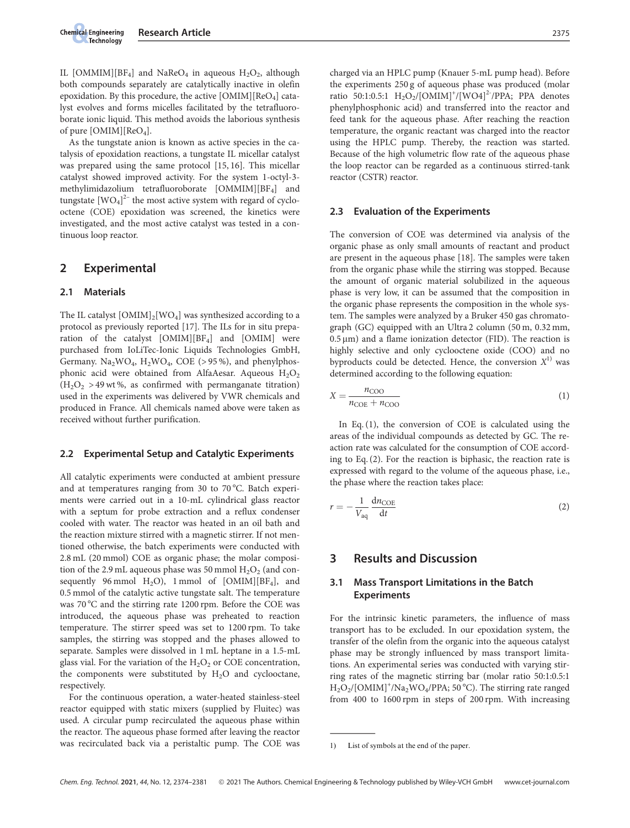IL [OMMIM][BF<sub>4</sub>] and NaReO<sub>4</sub> in aqueous  $H_2O_2$ , although both compounds separately are catalytically inactive in olefin epoxidation. By this procedure, the active  $[OMIM][ReO<sub>4</sub>]$  catalyst evolves and forms micelles facilitated by the tetrafluoroborate ionic liquid. This method avoids the laborious synthesis of pure [OMIM][ReO<sub>4</sub>].

As the tungstate anion is known as active species in the catalysis of epoxidation reactions, a tungstate IL micellar catalyst was prepared using the same protocol [15, 16]. This micellar catalyst showed improved activity. For the system 1-octyl-3 methylimidazolium tetrafluoroborate [OMMIM][BF4] and tungstate  $[WO<sub>4</sub>]<sup>2-</sup>$  the most active system with regard of cyclooctene (COE) epoxidation was screened, the kinetics were investigated, and the most active catalyst was tested in a continuous loop reactor.

## 2 Experimental

#### 2.1 Materials

The IL catalyst  $[OMIM]_2[WO_4]$  was synthesized according to a protocol as previously reported [17]. The ILs for in situ preparation of the catalyst [OMIM][BF4] and [OMIM] were purchased from IoLiTec-Ionic Liquids Technologies GmbH, Germany.  $Na<sub>2</sub>WO<sub>4</sub>$ ,  $H<sub>2</sub>WO<sub>4</sub>$ , COE (> 95%), and phenylphosphonic acid were obtained from AlfaAesar. Aqueous  $H_2O_2$  $(H<sub>2</sub>O<sub>2</sub> > 49$  wt%, as confirmed with permanganate titration) used in the experiments was delivered by VWR chemicals and produced in France. All chemicals named above were taken as received without further purification.

#### 2.2 Experimental Setup and Catalytic Experiments

All catalytic experiments were conducted at ambient pressure and at temperatures ranging from 30 to 70 °C. Batch experiments were carried out in a 10-mL cylindrical glass reactor with a septum for probe extraction and a reflux condenser cooled with water. The reactor was heated in an oil bath and the reaction mixture stirred with a magnetic stirrer. If not mentioned otherwise, the batch experiments were conducted with 2.8 mL (20 mmol) COE as organic phase; the molar composition of the 2.9 mL aqueous phase was 50 mmol  $H_2O_2$  (and consequently 96 mmol  $H_2O$ , 1 mmol of [OMIM][BF<sub>4</sub>], and 0.5 mmol of the catalytic active tungstate salt. The temperature was 70 °C and the stirring rate 1200 rpm. Before the COE was introduced, the aqueous phase was preheated to reaction temperature. The stirrer speed was set to 1200 rpm. To take samples, the stirring was stopped and the phases allowed to separate. Samples were dissolved in 1 mL heptane in a 1.5-mL glass vial. For the variation of the  $H_2O_2$  or COE concentration, the components were substituted by  $H_2O$  and cyclooctane, respectively.

For the continuous operation, a water-heated stainless-steel reactor equipped with static mixers (supplied by Fluitec) was used. A circular pump recirculated the aqueous phase within the reactor. The aqueous phase formed after leaving the reactor was recirculated back via a peristaltic pump. The COE was charged via an HPLC pump (Knauer 5-mL pump head). Before the experiments 250 g of aqueous phase was produced (molar ratio 50:1:0.5:1  $H_2O_2/[OMIM]^+/[WO4]^2$ <sup>-</sup>/PPA; PPA denotes phenylphosphonic acid) and transferred into the reactor and feed tank for the aqueous phase. After reaching the reaction temperature, the organic reactant was charged into the reactor using the HPLC pump. Thereby, the reaction was started. Because of the high volumetric flow rate of the aqueous phase the loop reactor can be regarded as a continuous stirred-tank reactor (CSTR) reactor.

#### 2.3 Evaluation of the Experiments

The conversion of COE was determined via analysis of the organic phase as only small amounts of reactant and product are present in the aqueous phase [18]. The samples were taken from the organic phase while the stirring was stopped. Because the amount of organic material solubilized in the aqueous phase is very low, it can be assumed that the composition in the organic phase represents the composition in the whole system. The samples were analyzed by a Bruker 450 gas chromatograph (GC) equipped with an Ultra 2 column (50 m, 0.32 mm,  $0.5 \,\mu$ m) and a flame ionization detector (FID). The reaction is highly selective and only cyclooctene oxide (COO) and no byproducts could be detected. Hence, the conversion  $X<sup>1</sup>$  was determined according to the following equation:

$$
X = \frac{n_{\text{COO}}}{n_{\text{COE}} + n_{\text{COO}}}
$$
\n<sup>(1)</sup>

In Eq. (1), the conversion of COE is calculated using the areas of the individual compounds as detected by GC. The reaction rate was calculated for the consumption of COE according to Eq. (2). For the reaction is biphasic, the reaction rate is expressed with regard to the volume of the aqueous phase, i.e., the phase where the reaction takes place:

$$
r = -\frac{1}{V_{\text{aq}}} \frac{\text{d}n_{\text{COE}}}{\text{d}t} \tag{2}
$$

# 3 Results and Discussion

## 3.1 Mass Transport Limitations in the Batch **Experiments**

For the intrinsic kinetic parameters, the influence of mass transport has to be excluded. In our epoxidation system, the transfer of the olefin from the organic into the aqueous catalyst phase may be strongly influenced by mass transport limitations. An experimental series was conducted with varying stirring rates of the magnetic stirring bar (molar ratio 50:1:0.5:1  $\rm H_2O_2/[OMIM]^+/Na_2WO_4/PPA;$  50 °C). The stirring rate ranged from 400 to 1600 rpm in steps of 200 rpm. With increasing tions. An express of H<sub>2</sub>O<sub>2</sub>/[OMIN]<br>
from 400 to<br>  $\frac{1}{2}$ <br>
from 400 to

<sup>1)</sup> List of symbols at the end of the paper.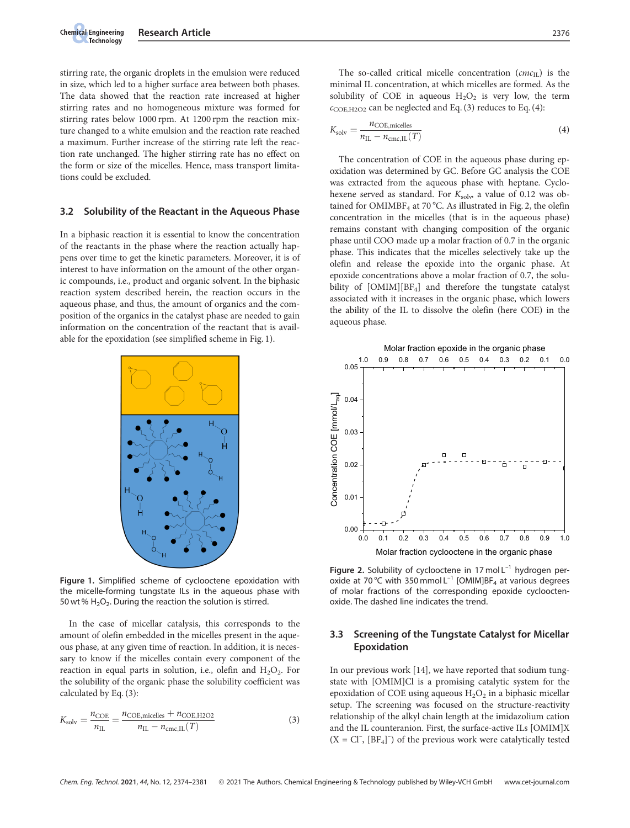stirring rate, the organic droplets in the emulsion were reduced in size, which led to a higher surface area between both phases. The data showed that the reaction rate increased at higher stirring rates and no homogeneous mixture was formed for stirring rates below 1000 rpm. At 1200 rpm the reaction mixture changed to a white emulsion and the reaction rate reached a maximum. Further increase of the stirring rate left the reaction rate unchanged. The higher stirring rate has no effect on the form or size of the micelles. Hence, mass transport limitations could be excluded.

#### 3.2 Solubility of the Reactant in the Aqueous Phase

In a biphasic reaction it is essential to know the concentration of the reactants in the phase where the reaction actually happens over time to get the kinetic parameters. Moreover, it is of interest to have information on the amount of the other organic compounds, i.e., product and organic solvent. In the biphasic reaction system described herein, the reaction occurs in the aqueous phase, and thus, the amount of organics and the composition of the organics in the catalyst phase are needed to gain information on the concentration of the reactant that is available for the epoxidation (see simplified scheme in Fig. 1).



Figure 1. Simplified scheme of cyclooctene epoxidation with the micelle-forming tungstate ILs in the aqueous phase with 50 wt %  $H_2O_2$ . During the reaction the solution is stirred.

In the case of micellar catalysis, this corresponds to the amount of olefin embedded in the micelles present in the aqueous phase, at any given time of reaction. In addition, it is necessary to know if the micelles contain every component of the reaction in equal parts in solution, i.e., olefin and  $H_2O_2$ . For the solubility of the organic phase the solubility coefficient was calculated by Eq. (3):

$$
K_{\text{solv}} = \frac{n_{\text{COE}}}{n_{\text{IL}}} = \frac{n_{\text{COE,micelles}} + n_{\text{COE,H2O2}}}{n_{\text{IL}} - n_{\text{cmc,IL}}(T)}
$$
(3)

The so-called critical micelle concentration  $(cmc<sub>U</sub>)$  is the minimal IL concentration, at which micelles are formed. As the solubility of COE in aqueous  $H_2O_2$  is very low, the term  $c_{\text{COE,H2O2}}$  can be neglected and Eq. (3) reduces to Eq. (4):

$$
K_{\text{solv}} = \frac{n_{\text{COE},\text{micelles}}}{n_{\text{IL}} - n_{\text{cmc},\text{IL}}(T)}
$$
(4)

The concentration of COE in the aqueous phase during epoxidation was determined by GC. Before GC analysis the COE was extracted from the aqueous phase with heptane. Cyclohexene served as standard. For  $K_{\text{solv}}$  a value of 0.12 was obtained for  $OMIMBF<sub>4</sub>$  at 70 °C. As illustrated in Fig. 2, the olefin concentration in the micelles (that is in the aqueous phase) remains constant with changing composition of the organic phase until COO made up a molar fraction of 0.7 in the organic phase. This indicates that the micelles selectively take up the olefin and release the epoxide into the organic phase. At epoxide concentrations above a molar fraction of 0.7, the solubility of [OMIM][BF<sub>4</sub>] and therefore the tungstate catalyst associated with it increases in the organic phase, which lowers the ability of the IL to dissolve the olefin (here COE) in the aqueous phase.



Figure 2. Solubility of cyclooctene in 17 mol  $L^{-1}$  hydrogen peroxide at 70 °C with 350 mmol  $L^{-1}$  [OMIM]BF<sub>4</sub> at various degrees of molar fractions of the corresponding epoxide cyclooctenoxide. The dashed line indicates the trend.

#### 3.3 Screening of the Tungstate Catalyst for Micellar Epoxidation

In our previous work [14], we have reported that sodium tungstate with [OMIM]Cl is a promising catalytic system for the epoxidation of COE using aqueous  $H_2O_2$  in a biphasic micellar setup. The screening was focused on the structure-reactivity relationship of the alkyl chain length at the imidazolium cation and the IL counteranion. First, the surface-active ILs [OMIM]X  $(X = CI^{-}, [BF_4]^{-})$  of the previous work were catalytically tested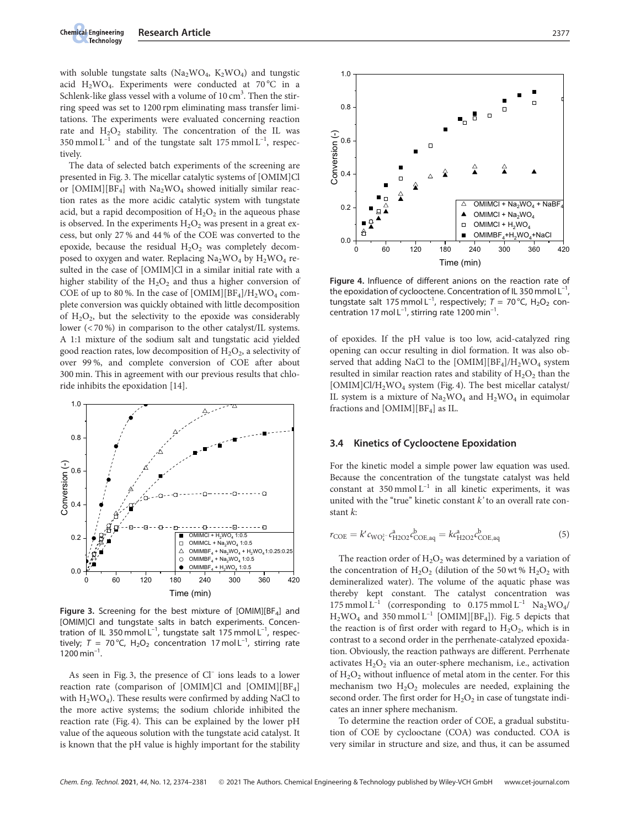with soluble tungstate salts (Na<sub>2</sub>WO<sub>4</sub>, K<sub>2</sub>WO<sub>4</sub>) and tungstic acid  $H_2WO_4$ . Experiments were conducted at 70 °C in a Schlenk-like glass vessel with a volume of  $10 \text{ cm}^3$ . Then the stirring speed was set to 1200 rpm eliminating mass transfer limitations. The experiments were evaluated concerning reaction rate and  $H_2O_2$  stability. The concentration of the IL was 350 mmol  $L^{-1}$  and of the tungstate salt 175 mmol  $L^{-1}$ , respectively.

The data of selected batch experiments of the screening are presented in Fig. 3. The micellar catalytic systems of [OMIM]Cl or  $[OMIM][BF<sub>4</sub>]$  with  $Na<sub>2</sub>WO<sub>4</sub>$  showed initially similar reaction rates as the more acidic catalytic system with tungstate acid, but a rapid decomposition of  $H_2O_2$  in the aqueous phase is observed. In the experiments  $H_2O_2$  was present in a great excess, but only 27 % and 44 % of the COE was converted to the epoxide, because the residual  $H_2O_2$  was completely decomposed to oxygen and water. Replacing  $Na<sub>2</sub>WO<sub>4</sub>$  by  $H<sub>2</sub>WO<sub>4</sub>$  resulted in the case of [OMIM]Cl in a similar initial rate with a higher stability of the  $H_2O_2$  and thus a higher conversion of COE of up to 80%. In the case of  $[OMIM][BF<sub>4</sub>]/H<sub>2</sub>WO<sub>4</sub> com$ plete conversion was quickly obtained with little decomposition of  $H_2O_2$ , but the selectivity to the epoxide was considerably lower (< 70 %) in comparison to the other catalyst/IL systems. A 1:1 mixture of the sodium salt and tungstatic acid yielded good reaction rates, low decomposition of  $H_2O_2$ , a selectivity of over 99 %, and complete conversion of COE after about 300 min. This in agreement with our previous results that chloride inhibits the epoxidation [14].



Figure 3. Screening for the best mixture of  $[OMIM][BF<sub>4</sub>]$  and [OMIM]Cl and tungstate salts in batch experiments. Concentration of IL 350 mmol  $L^{-1}$ , tungstate salt 175 mmol  $L^{-1}$ , respectively;  $T = 70 \degree C$ ,  $H_2O_2$  concentration 17 mol L<sup>-1</sup>, stirring rate  $1200 \text{ min}^{-1}$ .

As seen in Fig. 3, the presence of Cl<sup>-</sup> ions leads to a lower reaction rate (comparison of [OMIM]Cl and  $[OMIM][BF<sub>4</sub>]$ with  $H_2WO_4$ ). These results were confirmed by adding NaCl to the more active systems; the sodium chloride inhibited the reaction rate (Fig. 4). This can be explained by the lower pH value of the aqueous solution with the tungstate acid catalyst. It is known that the pH value is highly important for the stability



Figure 4. Influence of different anions on the reaction rate of the epoxidation of cyclooctene. Concentration of IL 350 mmol  $L^{-1}$ , tungstate salt 175 mmol L<sup>-1</sup>, respectively;  $T = 70$  °C, H<sub>2</sub>O<sub>2</sub> concentration 17 mol  $L^{-1}$ , stirring rate 1200 min<sup>-1</sup>.

of epoxides. If the pH value is too low, acid-catalyzed ring opening can occur resulting in diol formation. It was also observed that adding NaCl to the  $[OMIM][BF<sub>4</sub>]/H<sub>2</sub>WO<sub>4</sub>$  system resulted in similar reaction rates and stability of  $H_2O_2$  than the [OMIM]Cl/H2WO4 system (Fig. 4). The best micellar catalyst/ IL system is a mixture of  $Na<sub>2</sub>WO<sub>4</sub>$  and  $H<sub>2</sub>WO<sub>4</sub>$  in equimolar fractions and  $[OMIM][BF<sub>4</sub>]$  as IL.

#### 3.4 Kinetics of Cyclooctene Epoxidation

For the kinetic model a simple power law equation was used. Because the concentration of the tungstate catalyst was held constant at  $350$  mmol  $L^{-1}$  in all kinetic experiments, it was united with the "true" kinetic constant  $k'$  to an overall rate constant k:

$$
r_{\rm COE} = k' c_{\rm WO_i^{2-}} c_{\rm H2O2}^a c_{\rm COE,aq}^b = k c_{\rm H2O2}^a c_{\rm COE,aq}^b \tag{5}
$$

The reaction order of  $H_2O_2$  was determined by a variation of the concentration of  $H_2O_2$  (dilution of the 50 wt %  $H_2O_2$  with demineralized water). The volume of the aquatic phase was thereby kept constant. The catalyst concentration was 175 mmol  $L^{-1}$  (corresponding to 0.175 mmol  $L^{-1}$  Na<sub>2</sub>WO<sub>4</sub>/  $\rm H_2WO_4$  and  $\rm 350\,mmol\,L^{-1}$  [OMIM][BF<sub>4</sub>]). Fig. 5 depicts that the reaction is of first order with regard to  $H_2O_2$ , which is in contrast to a second order in the perrhenate-catalyzed epoxidation. Obviously, the reaction pathways are different. Perrhenate activates  $H_2O_2$  via an outer-sphere mechanism, i.e., activation of  $H_2O_2$  without influence of metal atom in the center. For this mechanism two  $H_2O_2$  molecules are needed, explaining the second order. The first order for  $H_2O_2$  in case of tungstate indicates an inner sphere mechanism.

To determine the reaction order of COE, a gradual substitution of COE by cyclooctane (COA) was conducted. COA is very similar in structure and size, and thus, it can be assumed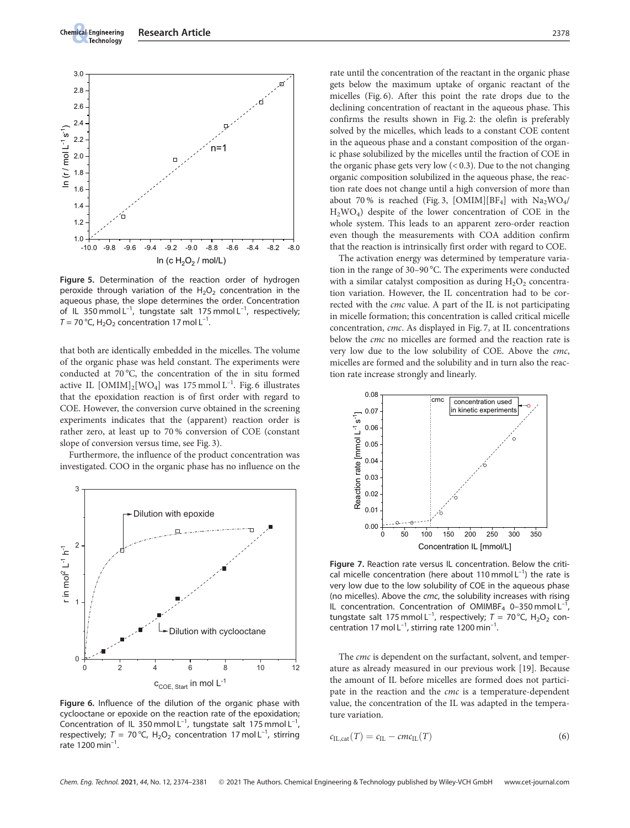

Figure 5. Determination of the reaction order of hydrogen peroxide through variation of the  $H_2O_2$  concentration in the aqueous phase, the slope determines the order. Concentration of IL 350 mmol  $L^{-1}$ , tungstate salt 175 mmol  $L^{-1}$ , respectively;  $T = 70 \degree C$ , H<sub>2</sub>O<sub>2</sub> concentration 17 mol L<sup>-1</sup>.

that both are identically embedded in the micelles. The volume of the organic phase was held constant. The experiments were conducted at 70 °C, the concentration of the in situ formed active IL  $[OMIM]_2[WO_4]$  was 175 mmol  $L^{-1}$ . Fig. 6 illustrates that the epoxidation reaction is of first order with regard to COE. However, the conversion curve obtained in the screening experiments indicates that the (apparent) reaction order is rather zero, at least up to 70 % conversion of COE (constant slope of conversion versus time, see Fig. 3).

Furthermore, the influence of the product concentration was investigated. COO in the organic phase has no influence on the



Figure 6. Influence of the dilution of the organic phase with cyclooctane or epoxide on the reaction rate of the epoxidation; Concentration of IL 350 mmol  $L^{-1}$ , tungstate salt 175 mmol  $L^{-1}$ , respectively;  $T = 70 \degree C$ ,  $H_2O_2$  concentration 17 mol L<sup>-1</sup>, stirring rate 1200 min<sup>-1</sup>.

rate until the concentration of the reactant in the organic phase gets below the maximum uptake of organic reactant of the micelles (Fig. 6). After this point the rate drops due to the declining concentration of reactant in the aqueous phase. This confirms the results shown in Fig. 2: the olefin is preferably solved by the micelles, which leads to a constant COE content in the aqueous phase and a constant composition of the organic phase solubilized by the micelles until the fraction of COE in the organic phase gets very low  $(< 0.3)$ . Due to the not changing organic composition solubilized in the aqueous phase, the reaction rate does not change until a high conversion of more than about 70% is reached (Fig. 3, [OMIM][BF<sub>4</sub>] with  $Na_2WO_4/$ H2WO4) despite of the lower concentration of COE in the whole system. This leads to an apparent zero-order reaction even though the measurements with COA addition confirm that the reaction is intrinsically first order with regard to COE.

The activation energy was determined by temperature variation in the range of 30–90 °C. The experiments were conducted with a similar catalyst composition as during  $H_2O_2$  concentration variation. However, the IL concentration had to be corrected with the cmc value. A part of the IL is not participating in micelle formation; this concentration is called critical micelle concentration, cmc. As displayed in Fig. 7, at IL concentrations below the cmc no micelles are formed and the reaction rate is very low due to the low solubility of COE. Above the cmc, micelles are formed and the solubility and in turn also the reaction rate increase strongly and linearly.



Figure 7. Reaction rate versus IL concentration. Below the critical micelle concentration (here about 110 mmol  $L^{-1}$ ) the rate is very low due to the low solubility of COE in the aqueous phase (no micelles). Above the cmc, the solubility increases with rising IL concentration. Concentration of OMIMBF<sub>4</sub> 0–350 mmol L<sup>-1</sup> tungstate salt 175 mmol L<sup>-1</sup>, respectively;  $T = 70$  °C, H<sub>2</sub>O<sub>2</sub> concentration 17 mol  $L^{-1}$ , stirring rate 1200 min<sup>-1</sup>.

The cmc is dependent on the surfactant, solvent, and temperature as already measured in our previous work [19]. Because the amount of IL before micelles are formed does not participate in the reaction and the cmc is a temperature-dependent value, the concentration of the IL was adapted in the temperature variation.

$$
c_{\text{IL,cat}}(T) = c_{\text{IL}} - cmc_{\text{IL}}(T) \tag{6}
$$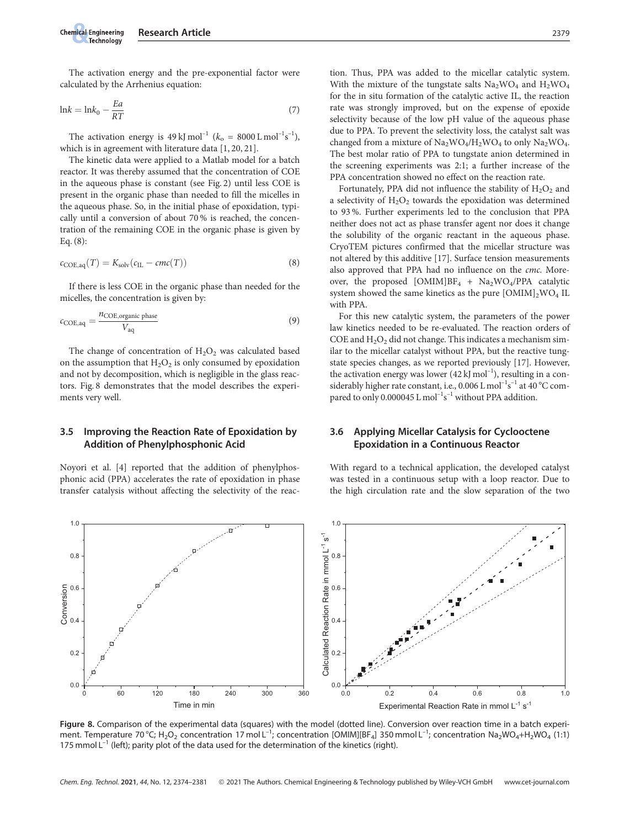The activation energy and the pre-exponential factor were calculated by the Arrhenius equation:

$$
ln k = ln k_0 - \frac{Ea}{RT}
$$
\n(7)

The activation energy is  $49 \text{ kJ} \text{ mol}^{-1}$  ( $k_{\text{o}} = 8000 \text{ L} \text{ mol}^{-1} \text{s}^{-1}$ ), which is in agreement with literature data [1, 20, 21].

The kinetic data were applied to a Matlab model for a batch reactor. It was thereby assumed that the concentration of COE in the aqueous phase is constant (see Fig. 2) until less COE is present in the organic phase than needed to fill the micelles in the aqueous phase. So, in the initial phase of epoxidation, typically until a conversion of about 70 % is reached, the concentration of the remaining COE in the organic phase is given by Eq. (8):

$$
c_{\text{COE},\text{aq}}(T) = K_{\text{solv}}(c_{\text{IL}} - \text{cmc}(T))
$$
\n(8)

If there is less COE in the organic phase than needed for the micelles, the concentration is given by:

$$
c_{\text{COE,aq}} = \frac{n_{\text{COE,organic phase}}}{V_{\text{aq}}}
$$
\n(9)

The change of concentration of  $H_2O_2$  was calculated based on the assumption that  $H_2O_2$  is only consumed by epoxidation and not by decomposition, which is negligible in the glass reactors. Fig. 8 demonstrates that the model describes the experiments very well.

#### 3.5 Improving the Reaction Rate of Epoxidation by Addition of Phenylphosphonic Acid

Noyori et al. [4] reported that the addition of phenylphosphonic acid (PPA) accelerates the rate of epoxidation in phase transfer catalysis without affecting the selectivity of the reaction. Thus, PPA was added to the micellar catalytic system. With the mixture of the tungstate salts  $Na<sub>2</sub>WO<sub>4</sub>$  and  $H<sub>2</sub>WO<sub>4</sub>$ for the in situ formation of the catalytic active IL, the reaction rate was strongly improved, but on the expense of epoxide selectivity because of the low pH value of the aqueous phase due to PPA. To prevent the selectivity loss, the catalyst salt was changed from a mixture of  $Na_2WO_4/H_2WO_4$  to only  $Na_2WO_4$ . The best molar ratio of PPA to tungstate anion determined in the screening experiments was 2:1; a further increase of the PPA concentration showed no effect on the reaction rate.

Fortunately, PPA did not influence the stability of  $H_2O_2$  and a selectivity of  $H_2O_2$  towards the epoxidation was determined to 93 %. Further experiments led to the conclusion that PPA neither does not act as phase transfer agent nor does it change the solubility of the organic reactant in the aqueous phase. CryoTEM pictures confirmed that the micellar structure was not altered by this additive [17]. Surface tension measurements also approved that PPA had no influence on the cmc. Moreover, the proposed [OMIM]BF<sub>4</sub> + Na<sub>2</sub>WO<sub>4</sub>/PPA catalytic system showed the same kinetics as the pure  $[OMIM]_2WO_4 IL$ with PPA.

For this new catalytic system, the parameters of the power law kinetics needed to be re-evaluated. The reaction orders of COE and  $H_2O_2$  did not change. This indicates a mechanism similar to the micellar catalyst without PPA, but the reactive tungstate species changes, as we reported previously [17]. However, the activation energy was lower  $(42 \text{ kJ mol}^{-1})$ , resulting in a considerably higher rate constant, i.e.,  $0.006$  L mol<sup>-1</sup>s<sup>-1</sup> at 40 °C compared to only 0.000045 L mol<sup>-1</sup>s<sup>-1</sup> without PPA addition.

#### 3.6 Applying Micellar Catalysis for Cyclooctene Epoxidation in a Continuous Reactor

With regard to a technical application, the developed catalyst was tested in a continuous setup with a loop reactor. Due to the high circulation rate and the slow separation of the two



Figure 8. Comparison of the experimental data (squares) with the model (dotted line). Conversion over reaction time in a batch experiment. Temperature 70 °C; H<sub>2</sub>O<sub>2</sub> concentration 17 mol L<sup>-1</sup>; concentration [OMIM][BF<sub>4</sub>] 350 mmol L<sup>-1</sup>; concentration Na<sub>2</sub>WO<sub>4</sub>+H<sub>2</sub>WO<sub>4</sub> (1:1) 175 mmol  $L^{-1}$  (left); parity plot of the data used for the determination of the kinetics (right).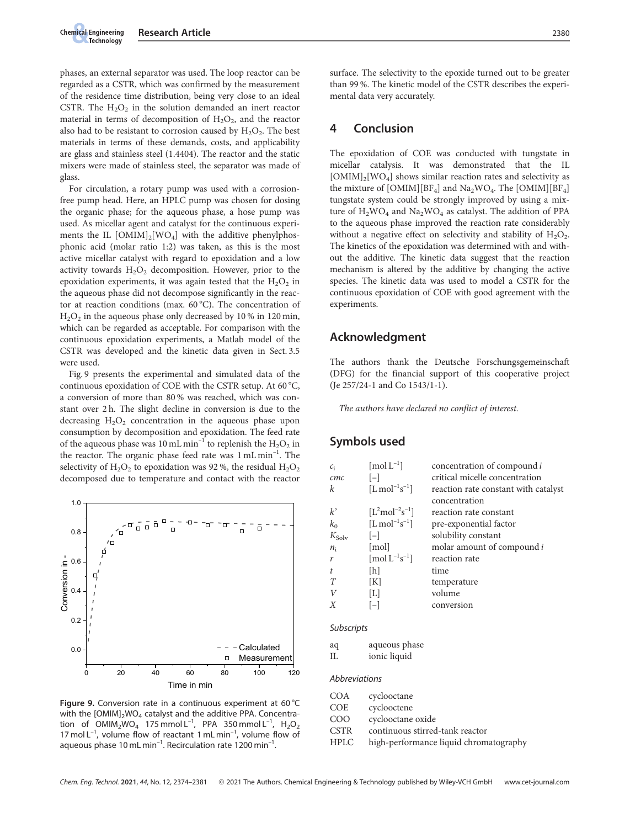phases, an external separator was used. The loop reactor can be regarded as a CSTR, which was confirmed by the measurement of the residence time distribution, being very close to an ideal CSTR. The  $H_2O_2$  in the solution demanded an inert reactor material in terms of decomposition of  $H_2O_2$ , and the reactor also had to be resistant to corrosion caused by  $H_2O_2$ . The best materials in terms of these demands, costs, and applicability are glass and stainless steel (1.4404). The reactor and the static mixers were made of stainless steel, the separator was made of glass.

For circulation, a rotary pump was used with a corrosionfree pump head. Here, an HPLC pump was chosen for dosing the organic phase; for the aqueous phase, a hose pump was used. As micellar agent and catalyst for the continuous experiments the IL  $[OMIM]_2[WO_4]$  with the additive phenylphosphonic acid (molar ratio 1:2) was taken, as this is the most active micellar catalyst with regard to epoxidation and a low activity towards  $H_2O_2$  decomposition. However, prior to the epoxidation experiments, it was again tested that the  $H_2O_2$  in the aqueous phase did not decompose significantly in the reactor at reaction conditions (max.  $60^{\circ}$ C). The concentration of  $H<sub>2</sub>O<sub>2</sub>$  in the aqueous phase only decreased by 10 % in 120 min, which can be regarded as acceptable. For comparison with the continuous epoxidation experiments, a Matlab model of the CSTR was developed and the kinetic data given in Sect. 3.5 were used.

Fig. 9 presents the experimental and simulated data of the continuous epoxidation of COE with the CSTR setup. At 60 °C, a conversion of more than 80 % was reached, which was constant over 2 h. The slight decline in conversion is due to the decreasing  $H_2O_2$  concentration in the aqueous phase upon consumption by decomposition and epoxidation. The feed rate of the aqueous phase was 10 mL min<sup>-1</sup> to replenish the  $H_2O_2$  in the reactor. The organic phase feed rate was 1 mL min<sup>-1</sup>. The selectivity of  $H_2O_2$  to epoxidation was 92%, the residual  $H_2O_2$ decomposed due to temperature and contact with the reactor



Figure 9. Conversion rate in a continuous experiment at 60  $^{\circ}$ C with the  $[OMIM]_2WO_4$  catalyst and the additive PPA. Concentration of  $OMIM_2WO_4$  175 mmol L<sup>-1</sup>, PPA 350 mmol L<sup>-1</sup>, H<sub>2</sub>O<sub>2</sub> 17 mol  $L^{-1}$ , volume flow of reactant 1 mL min<sup>-1</sup>, volume flow of aqueous phase 10 mL min<sup>-1</sup>. Recirculation rate 1200 min<sup>-1</sup>.

surface. The selectivity to the epoxide turned out to be greater than 99 %. The kinetic model of the CSTR describes the experimental data very accurately.

# 4 Conclusion

The epoxidation of COE was conducted with tungstate in micellar catalysis. It was demonstrated that the IL  $[OMIM]_2[WO_4]$  shows similar reaction rates and selectivity as the mixture of  $[OMIM][BF_4]$  and  $Na_2WO_4$ . The  $[OMIM][BF_4]$ tungstate system could be strongly improved by using a mixture of  $H_2WO_4$  and  $Na_2WO_4$  as catalyst. The addition of PPA to the aqueous phase improved the reaction rate considerably without a negative effect on selectivity and stability of  $H_2O_2$ . The kinetics of the epoxidation was determined with and without the additive. The kinetic data suggest that the reaction mechanism is altered by the additive by changing the active species. The kinetic data was used to model a CSTR for the continuous epoxidation of COE with good agreement with the experiments.

## Acknowledgment

The authors thank the Deutsche Forschungsgemeinschaft (DFG) for the financial support of this cooperative project (Je 257/24-1 and Co 1543/1-1).

The authors have declared no conflict of interest.

# Symbols used

| $c_i$             | $[{\rm mol~L^{-1}}]$                                     | concentration of compound i          |
|-------------------|----------------------------------------------------------|--------------------------------------|
| cmc               | $ - $                                                    | critical micelle concentration       |
| k                 | $[L \text{ mol}^{-1} \text{s}^{-1}]$                     | reaction rate constant with catalyst |
|                   |                                                          | concentration                        |
| $k^{\prime}$      | $[L^{2}mol^{-2}s^{-1}]$                                  | reaction rate constant               |
| $k_0$             | $[L \text{ mol}^{-1} \text{s}^{-1}]$                     | pre-exponential factor               |
| $K_{\text{Solv}}$ | $ - $                                                    | solubility constant                  |
| $n_i$             | $\lfloor$ mol $\rfloor$                                  | molar amount of compound i           |
| r                 | $\left[\text{mol} \, \text{L}^{-1} \text{s}^{-1}\right]$ | reaction rate                        |
| t                 | [h]                                                      | time                                 |
| T                 | [K]                                                      | temperature                          |
| V                 | [L]                                                      | volume                               |
| X                 | $[-]$                                                    | conversion                           |
|                   |                                                          |                                      |
| Subscripts        |                                                          |                                      |
| aσ                | aqueous phase                                            |                                      |

| ay | aqueous pii  |
|----|--------------|
| IL | ionic liquid |

**Abbreviations** 

| COA  | cyclooctane                            |
|------|----------------------------------------|
| COE  | cyclooctene                            |
| COO  | cyclooctane oxide                      |
| CSTR | continuous stirred-tank reactor        |
| HPLC | high-performance liquid chromatography |
|      |                                        |